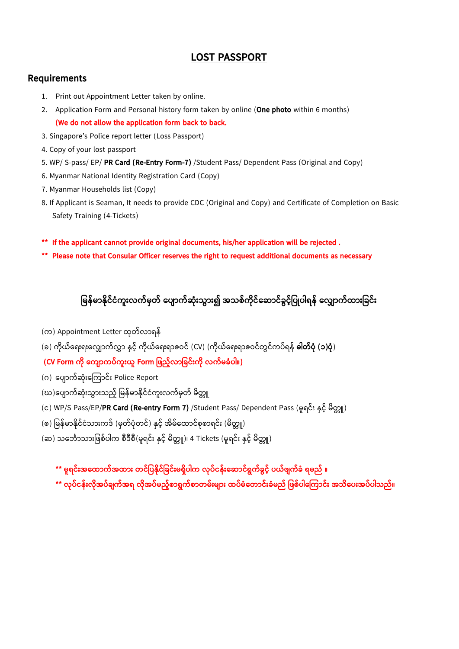## **LOST PASSPORT**

## **Requirements**

- 1. Print out Appointment Letter taken by online.
- 2. Application Form and Personal history form taken by online (**One photo** within 6 months) **(We do not allow the application form back to back.**
- 3. Singapore's Police report letter (Loss Passport)
- 4. Copy of your lost passport
- 5. WP/ S-pass/ EP/ **PR Card (Re-Entry Form-7)** /Student Pass/ Dependent Pass (Original and Copy)
- 6. Myanmar National Identity Registration Card (Copy)
- 7. Myanmar Households list (Copy)
- 8. If Applicant is Seaman, It needs to provide CDC (Original and Copy) and Certificate of Completion on Basic Safety Training (4-Tickets)
- **\*\* If the applicant cannot provide original documents, his/her application will be rejected .**
- **\*\* Please note that Consular Officer reserves the right to request additional documents as necessary**

## <u>မြန်မာနိုင်ငံကူးလက်မှတ် ပျောက်ဆုံးသွား၍ အသစ်ကိုင်ဆောင်ခွင့်ပြုပါရန် လျောက်ထားခြင်း</u>

- (က) Appointment Letter ထုတ်လာရန်
- (ခ) ကိုယ်ရေးရးလျောက်လွှာ နှင့် ကိုယ်ရေးရာဇဝင် (CV) (ကိုယ်ရေးရာဇဝင်တွင်ကပ်ရန် **ဓါတ်ပုံ (၁)ပုံ**)
- **(CV Form က ို ပက ာက ်က ူးယ Form မြည့််လာမခင်ူးက ို လက်ြခံ ါ။)**
- (ဂ) ပျောက်ဆုံးကြောင်း Police Report
- (ဃ)ပျောက်ဆုံးသွားသည့် မြန်မာနိုင်ငံကူးလက်မှတ် မိတ္တူ
- (c) WP/S Pass/EP/**PR Card (Re-entry Form 7)** /Student Pass/ Dependent Pass (မူရင်း နှင့် မိတ္တူ)
- (စ) မြန်မာနိုင်ငံသားကဒ် (မှတ်ပုံတင်) နှင့် အိမ်ထောင်စုစာရင်း (မိတ္တူ)
- (ဆ) သင်္ဘောသားဖြစ်ပါက စီဒီစီ(မရင်း နှင် မိတ္တူ)၊ 4 Tickets (မရင်း နှင် မိတ္တူ)
	- **\*\* ြ ရင်ူးအပထာက်အထာူး တင်မ န ိုင်မခင်ူးြရှ ါက လို ်ငန်ူးပဆာင်ရွက်ခ င့်် ယ်ြ က်ခံ ရြည် ။**
	- **\*\* လို ်ငန်ူးလ ိုအ ်ခ က်အရ လ ိုအ ်ြည့််စာရွက်စာတြ်ူးြ ာူး ထ ်ြံပတာင်ူးခံြည် မြစ် ါပ ကာင်ူး အသ ပ ူးအ ် ါသည်။**